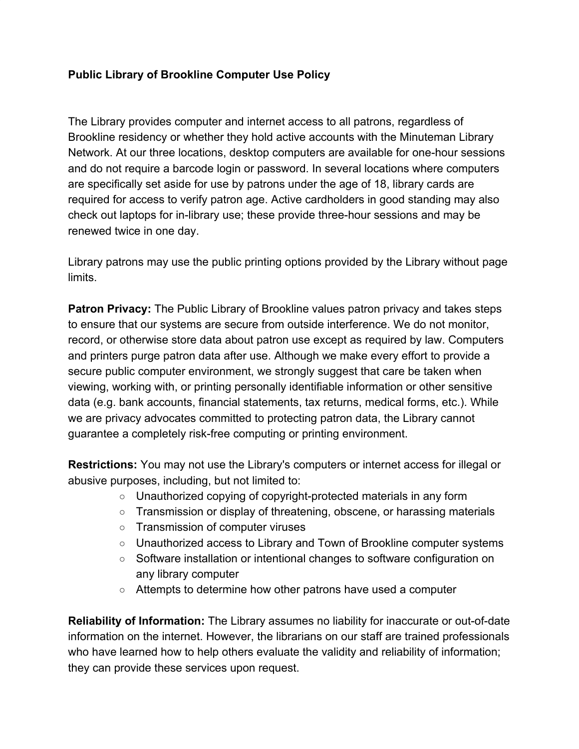## **Public Library of Brookline Computer Use Policy**

The Library provides computer and internet access to all patrons, regardless of Brookline residency or whether they hold active accounts with the Minuteman Library Network. At our three locations, desktop computers are available for one-hour sessions and do not require a barcode login or password. In several locations where computers are specifically set aside for use by patrons under the age of 18, library cards are required for access to verify patron age. Active cardholders in good standing may also check out laptops for in-library use; these provide three-hour sessions and may be renewed twice in one day.

Library patrons may use the public printing options provided by the Library without page limits.

**Patron Privacy:** The Public Library of Brookline values patron privacy and takes steps to ensure that our systems are secure from outside interference. We do not monitor, record, or otherwise store data about patron use except as required by law. Computers and printers purge patron data after use. Although we make every effort to provide a secure public computer environment, we strongly suggest that care be taken when viewing, working with, or printing personally identifiable information or other sensitive data (e.g. bank accounts, financial statements, tax returns, medical forms, etc.). While we are privacy advocates committed to protecting patron data, the Library cannot guarantee a completely risk-free computing or printing environment.

**Restrictions:** You may not use the Library's computers or internet access for illegal or abusive purposes, including, but not limited to:

- Unauthorized copying of copyright-protected materials in any form
- Transmission or display of threatening, obscene, or harassing materials
- Transmission of computer viruses
- Unauthorized access to Library and Town of Brookline computer systems
- Software installation or intentional changes to software configuration on any library computer
- Attempts to determine how other patrons have used a computer

**Reliability of Information:** The Library assumes no liability for inaccurate or out-of-date information on the internet. However, the librarians on our staff are trained professionals who have learned how to help others evaluate the validity and reliability of information; they can provide these services upon request.